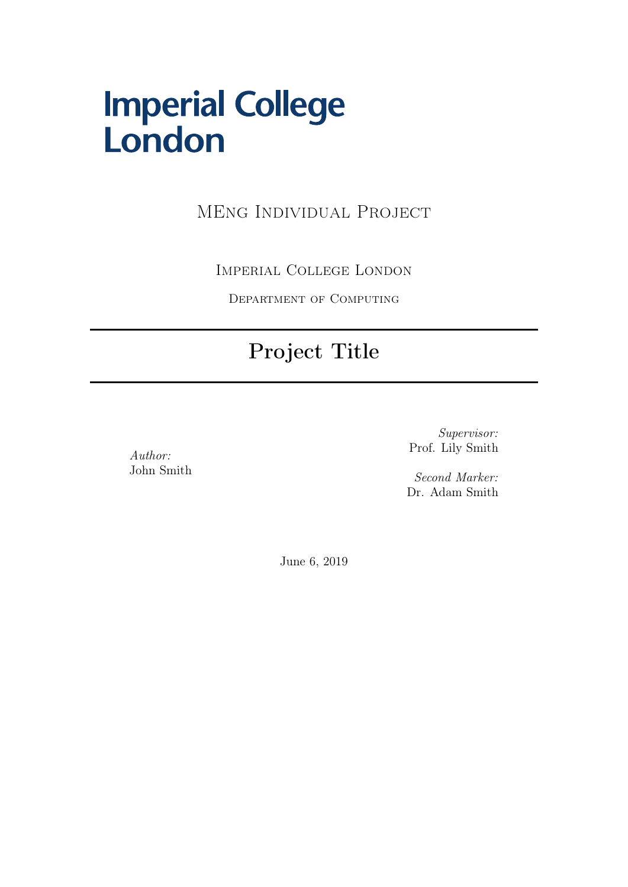# **Imperial College<br>London**

MEng Individual Project

Imperial College London

Department of Computing

#### Project Title

Author: John Smith

Supervisor: Prof. Lily Smith

Second Marker: Dr. Adam Smith

June 6, 2019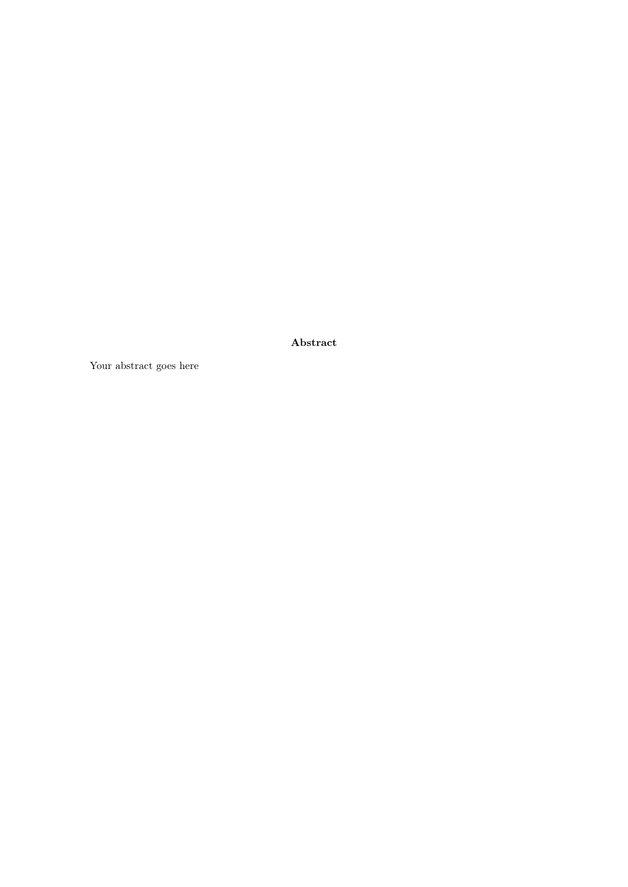Abstract

Your abstract goes here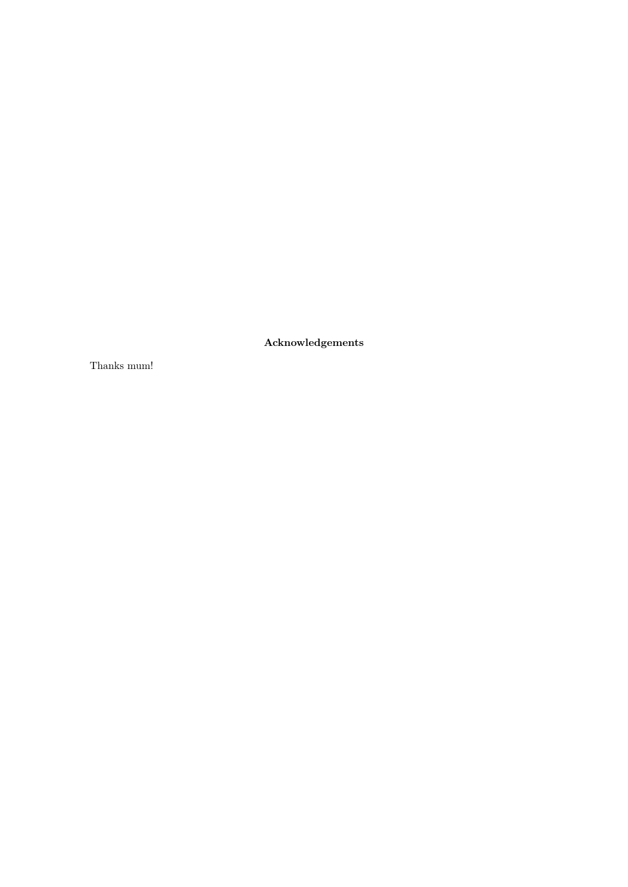Acknowledgements

Thanks mum!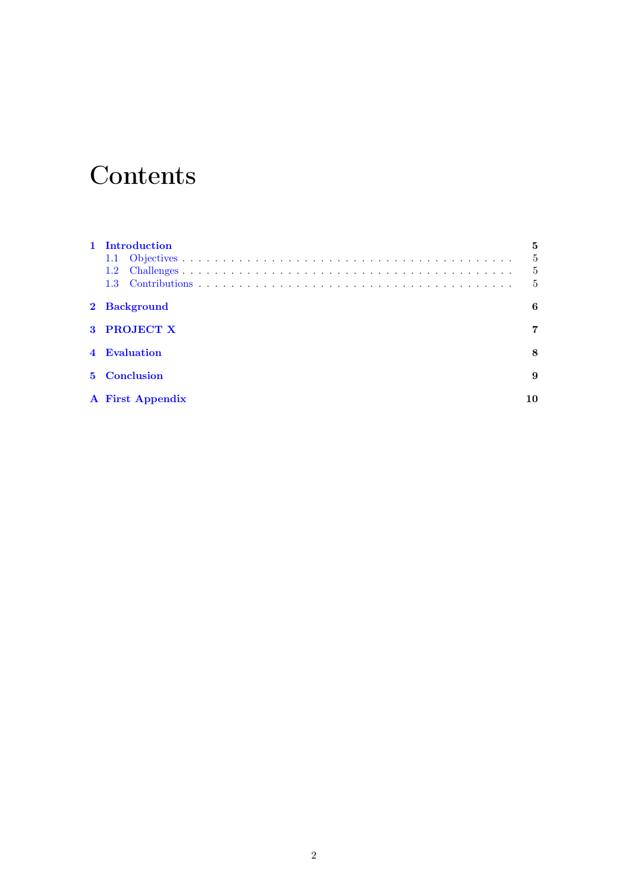#### **Contents**

| 1 Introduction          | 5 |
|-------------------------|---|
|                         | 5 |
| $1.2^{\circ}$           | 5 |
| 1.3 <sup>°</sup>        | 5 |
| 2 Background            | 6 |
| 3 PROJECT X             | 7 |
| 4 Evaluation            | 8 |
| 5 Conclusion            | 9 |
| <b>A</b> First Appendix |   |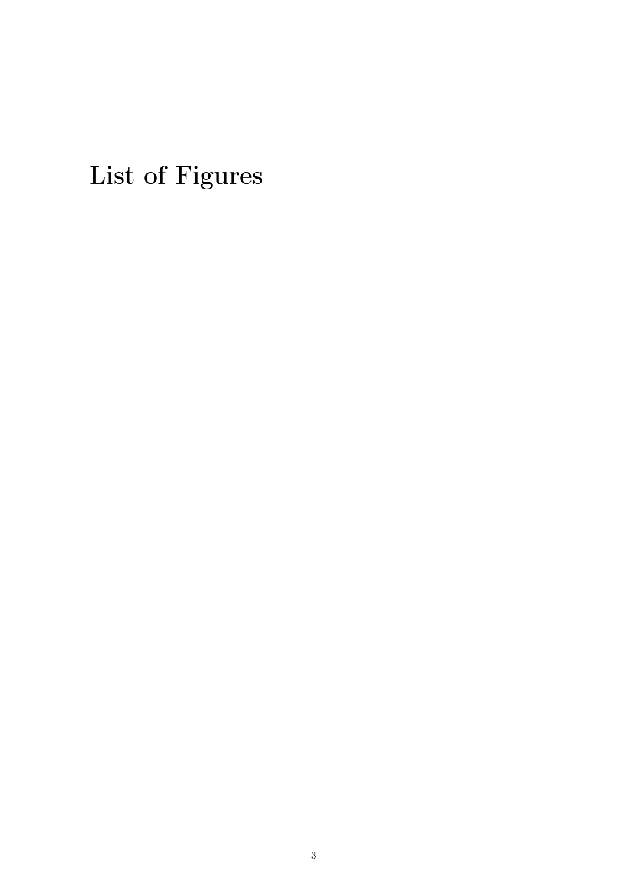List of Figures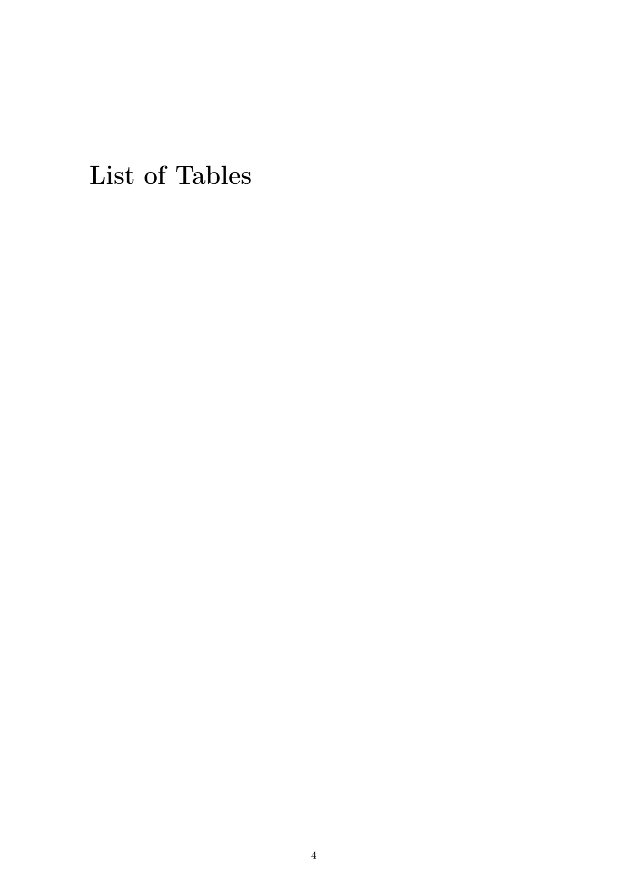List of Tables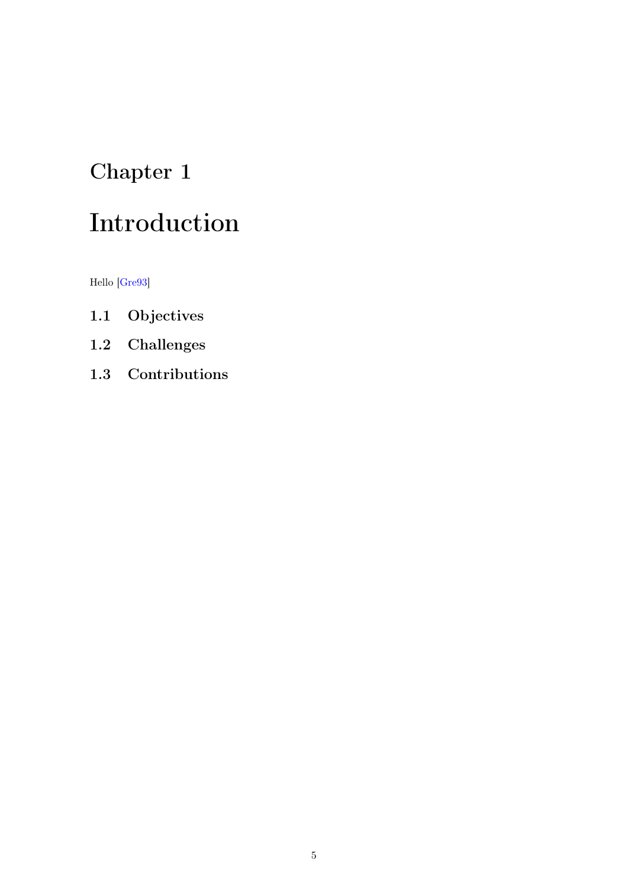## <span id="page-6-0"></span>Introduction

Hello [\[Gre93\]](#page-12-0)

- <span id="page-6-1"></span>1.1 Objectives
- <span id="page-6-2"></span>1.2 Challenges
- <span id="page-6-3"></span>1.3 Contributions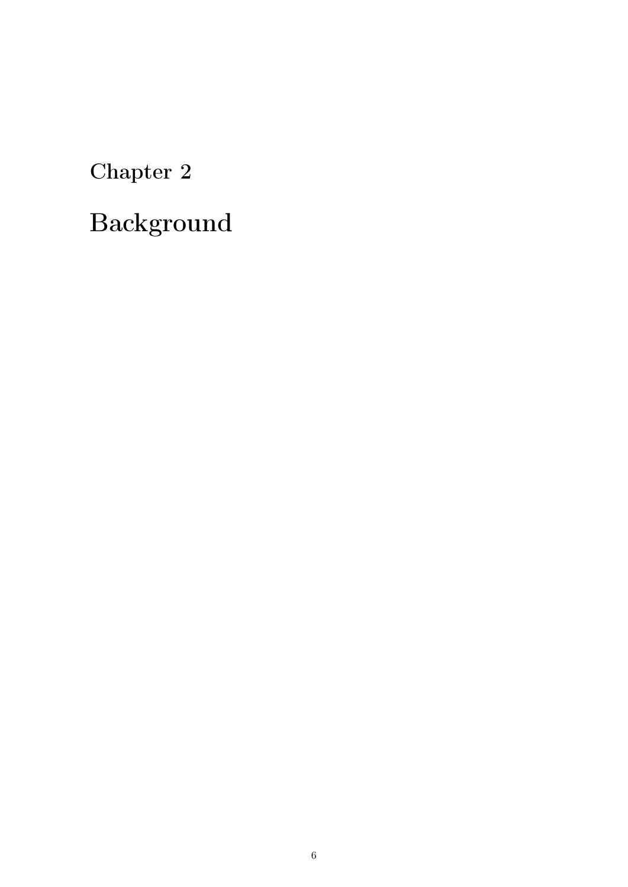# <span id="page-7-0"></span>Background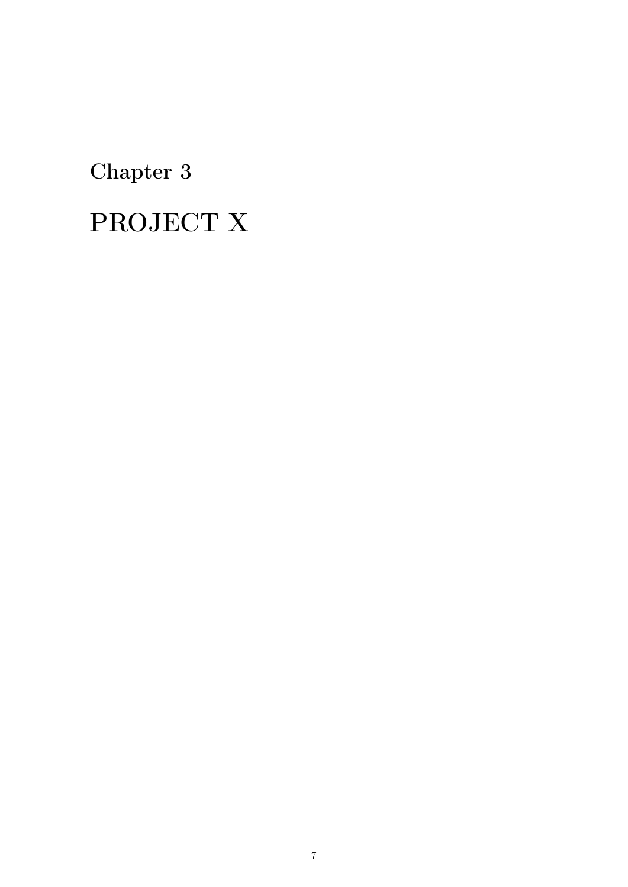# <span id="page-8-0"></span>PROJECT X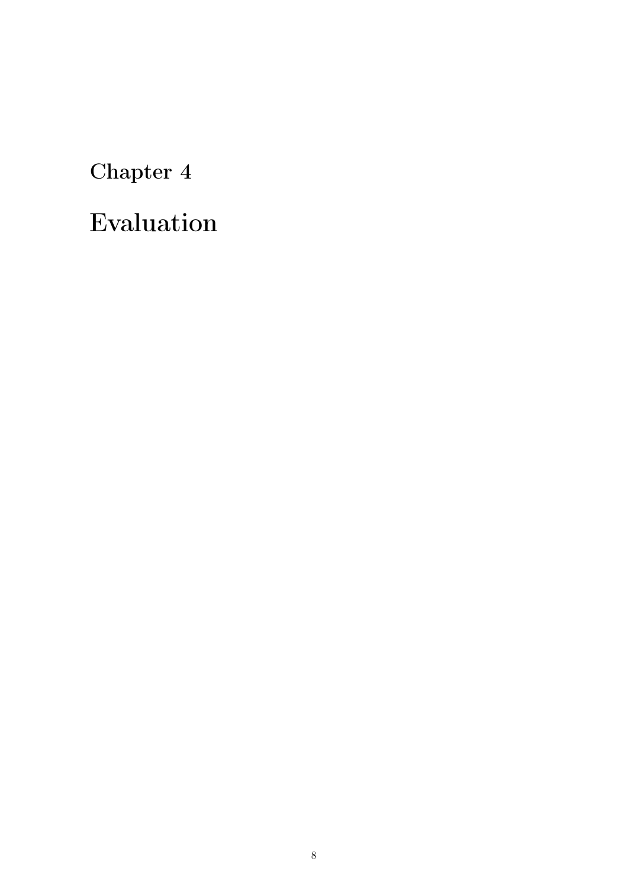## <span id="page-9-0"></span>Evaluation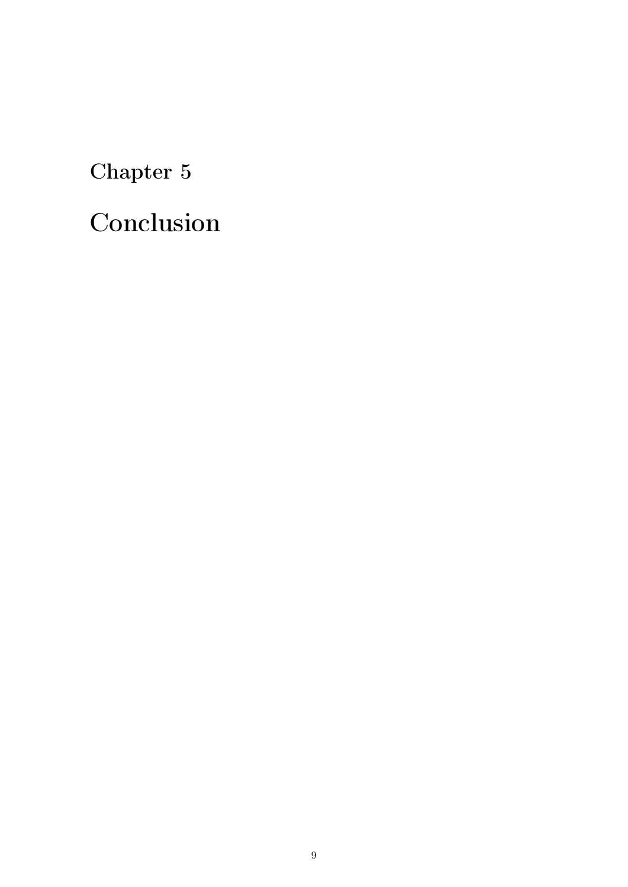## <span id="page-10-0"></span>Conclusion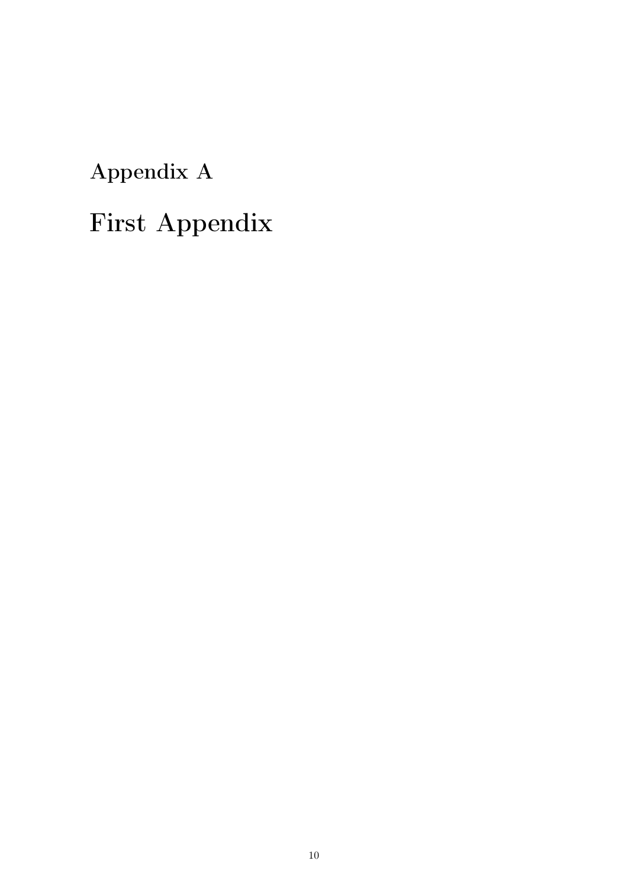<span id="page-11-0"></span>Appendix A

# First Appendix